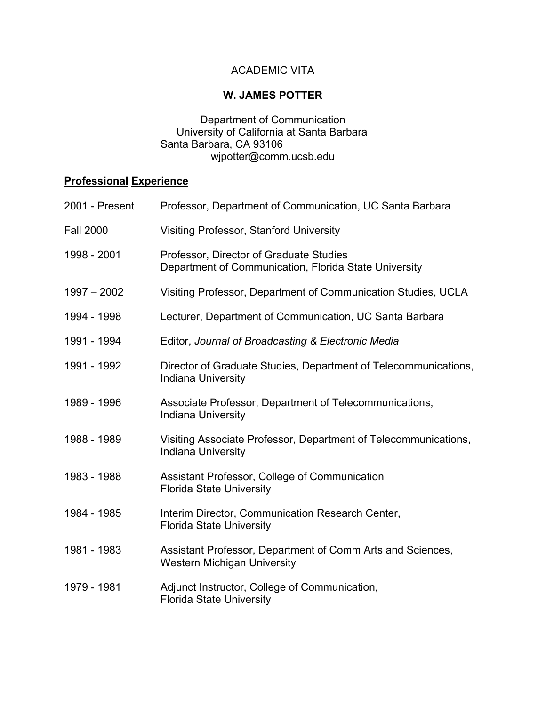# ACADEMIC VITA

# **W. JAMES POTTER**

Department of Communication University of California at Santa Barbara Santa Barbara, CA 93106 wjpotter@comm.ucsb.edu

# **Professional Experience**

| 2001 - Present   | Professor, Department of Communication, UC Santa Barbara                                         |
|------------------|--------------------------------------------------------------------------------------------------|
| <b>Fall 2000</b> | <b>Visiting Professor, Stanford University</b>                                                   |
| 1998 - 2001      | Professor, Director of Graduate Studies<br>Department of Communication, Florida State University |
| $1997 - 2002$    | Visiting Professor, Department of Communication Studies, UCLA                                    |
| 1994 - 1998      | Lecturer, Department of Communication, UC Santa Barbara                                          |
| 1991 - 1994      | Editor, Journal of Broadcasting & Electronic Media                                               |
| 1991 - 1992      | Director of Graduate Studies, Department of Telecommunications,<br><b>Indiana University</b>     |
| 1989 - 1996      | Associate Professor, Department of Telecommunications,<br><b>Indiana University</b>              |
| 1988 - 1989      | Visiting Associate Professor, Department of Telecommunications,<br><b>Indiana University</b>     |
| 1983 - 1988      | Assistant Professor, College of Communication<br><b>Florida State University</b>                 |
| 1984 - 1985      | Interim Director, Communication Research Center,<br><b>Florida State University</b>              |
| 1981 - 1983      | Assistant Professor, Department of Comm Arts and Sciences,<br><b>Western Michigan University</b> |
| 1979 - 1981      | Adjunct Instructor, College of Communication,<br><b>Florida State University</b>                 |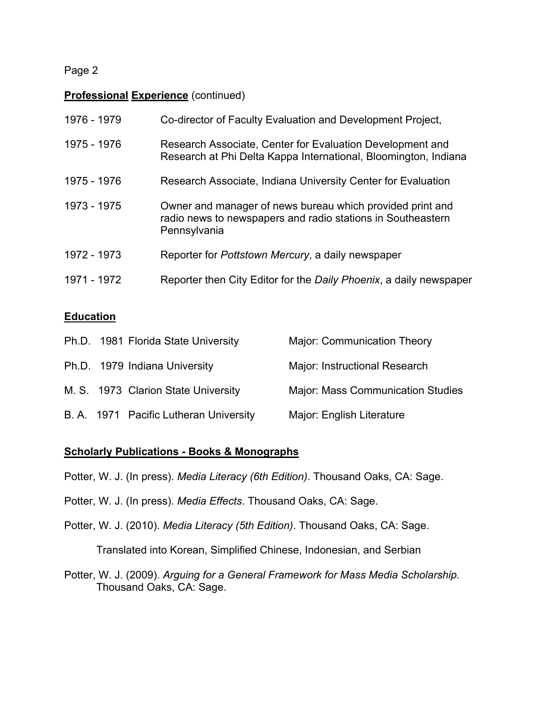## **Professional Experience** (continued)

| 1976 - 1979 | Co-director of Faculty Evaluation and Development Project,                                                                               |
|-------------|------------------------------------------------------------------------------------------------------------------------------------------|
| 1975 - 1976 | Research Associate, Center for Evaluation Development and<br>Research at Phi Delta Kappa International, Bloomington, Indiana             |
| 1975 - 1976 | Research Associate, Indiana University Center for Evaluation                                                                             |
| 1973 - 1975 | Owner and manager of news bureau which provided print and<br>radio news to newspapers and radio stations in Southeastern<br>Pennsylvania |
| 1972 - 1973 | Reporter for Pottstown Mercury, a daily newspaper                                                                                        |
| 1971 - 1972 | Reporter then City Editor for the Daily Phoenix, a daily newspaper                                                                       |

## **Education**

|  | Ph.D. 1981 Florida State University    | Major: Communication Theory              |
|--|----------------------------------------|------------------------------------------|
|  | Ph.D. 1979 Indiana University          | Major: Instructional Research            |
|  | M. S. 1973 Clarion State University    | <b>Major: Mass Communication Studies</b> |
|  | B. A. 1971 Pacific Lutheran University | Major: English Literature                |

### **Scholarly Publications - Books & Monographs**

- Potter, W. J. (In press). *Media Literacy (6th Edition)*. Thousand Oaks, CA: Sage.
- Potter, W. J. (In press). *Media Effects*. Thousand Oaks, CA: Sage.
- Potter, W. J. (2010). *Media Literacy (5th Edition)*. Thousand Oaks, CA: Sage.

Translated into Korean, Simplified Chinese, Indonesian, and Serbian

Potter, W. J. (2009). *Arguing for a General Framework for Mass Media Scholarship.* Thousand Oaks, CA: Sage.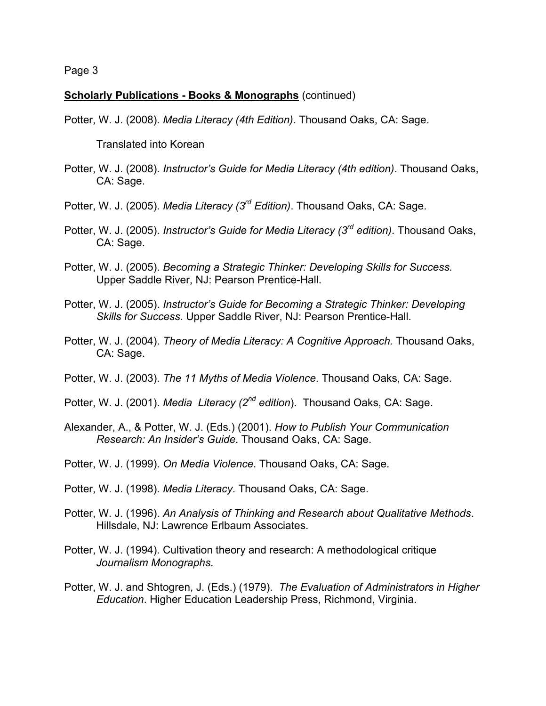#### **Scholarly Publications - Books & Monographs** (continued)

Potter, W. J. (2008). *Media Literacy (4th Edition)*. Thousand Oaks, CA: Sage.

Translated into Korean

- Potter, W. J. (2008). *Instructor's Guide for Media Literacy (4th edition)*. Thousand Oaks, CA: Sage.
- Potter, W. J. (2005). *Media Literacy (3rd Edition)*. Thousand Oaks, CA: Sage.
- Potter, W. J. (2005). *Instructor's Guide for Media Literacy (3rd edition)*. Thousand Oaks, CA: Sage.
- Potter, W. J. (2005). *Becoming a Strategic Thinker: Developing Skills for Success.* Upper Saddle River, NJ: Pearson Prentice-Hall.
- Potter, W. J. (2005). *Instructor's Guide for Becoming a Strategic Thinker: Developing Skills for Success.* Upper Saddle River, NJ: Pearson Prentice-Hall.
- Potter, W. J. (2004). *Theory of Media Literacy: A Cognitive Approach.* Thousand Oaks, CA: Sage.
- Potter, W. J. (2003). *The 11 Myths of Media Violence*. Thousand Oaks, CA: Sage.
- Potter, W. J. (2001). *Media Literacy (2nd edition*). Thousand Oaks, CA: Sage.
- Alexander, A., & Potter, W. J. (Eds.) (2001). *How to Publish Your Communication Research: An Insider's Guide*. Thousand Oaks, CA: Sage.
- Potter, W. J. (1999). *On Media Violence*. Thousand Oaks, CA: Sage.
- Potter, W. J. (1998). *Media Literacy*. Thousand Oaks, CA: Sage.
- Potter, W. J. (1996). *An Analysis of Thinking and Research about Qualitative Methods*. Hillsdale, NJ: Lawrence Erlbaum Associates.
- Potter, W. J. (1994). Cultivation theory and research: A methodological critique *Journalism Monographs*.
- Potter, W. J. and Shtogren, J. (Eds.) (1979). *The Evaluation of Administrators in Higher Education*. Higher Education Leadership Press, Richmond, Virginia.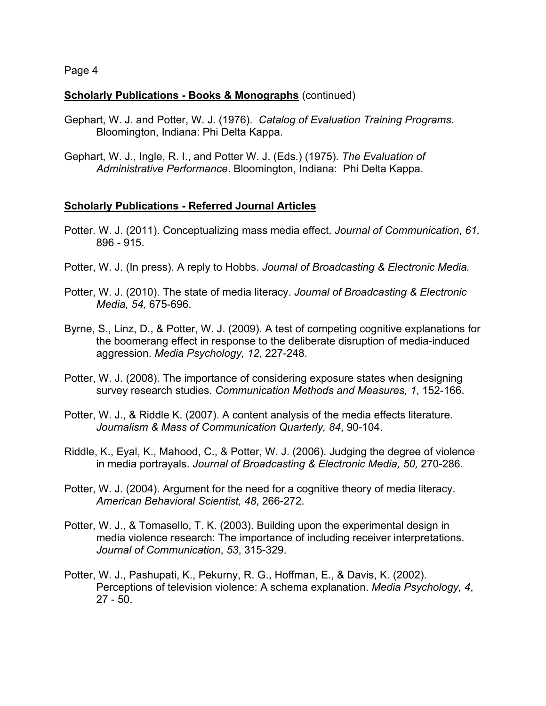### **Scholarly Publications - Books & Monographs** (continued)

- Gephart, W. J. and Potter, W. J. (1976). *Catalog of Evaluation Training Programs.* Bloomington, Indiana: Phi Delta Kappa.
- Gephart, W. J., Ingle, R. I., and Potter W. J. (Eds.) (1975). *The Evaluation of Administrative Performance*. Bloomington, Indiana: Phi Delta Kappa.

### **Scholarly Publications - Referred Journal Articles**

- Potter. W. J. (2011). Conceptualizing mass media effect. *Journal of Communication*, *61,* 896 - 915.
- Potter, W. J. (In press). A reply to Hobbs. *Journal of Broadcasting & Electronic Media.*
- Potter, W. J. (2010). The state of media literacy. *Journal of Broadcasting & Electronic Media, 54,* 675-696.
- Byrne, S., Linz, D., & Potter, W. J. (2009). A test of competing cognitive explanations for the boomerang effect in response to the deliberate disruption of media-induced aggression. *Media Psychology, 12*, 227-248.
- Potter, W. J. (2008). The importance of considering exposure states when designing survey research studies. *Communication Methods and Measures, 1*, 152-166.
- Potter, W. J., & Riddle K. (2007). A content analysis of the media effects literature. *Journalism & Mass of Communication Quarterly, 84*, 90-104.
- Riddle, K., Eyal, K., Mahood, C., & Potter, W. J. (2006). Judging the degree of violence in media portrayals. *Journal of Broadcasting & Electronic Media, 50,* 270-286*.*
- Potter, W. J. (2004). Argument for the need for a cognitive theory of media literacy. *American Behavioral Scientist, 48*, 266-272.
- Potter, W. J., & Tomasello, T. K. (2003). Building upon the experimental design in media violence research: The importance of including receiver interpretations. *Journal of Communication*, *53*, 315-329.
- Potter, W. J., Pashupati, K., Pekurny, R. G., Hoffman, E., & Davis, K. (2002). Perceptions of television violence: A schema explanation. *Media Psychology, 4*, 27 - 50.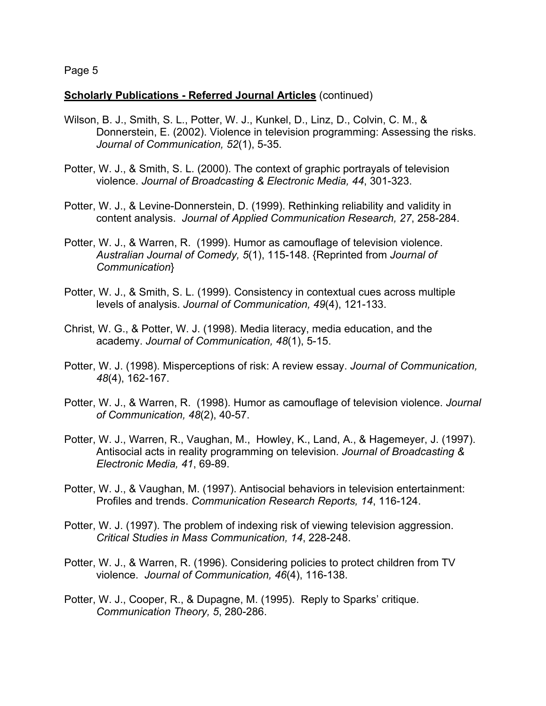#### **Scholarly Publications - Referred Journal Articles** (continued)

- Wilson, B. J., Smith, S. L., Potter, W. J., Kunkel, D., Linz, D., Colvin, C. M., & Donnerstein, E. (2002). Violence in television programming: Assessing the risks. *Journal of Communication, 52*(1), 5-35.
- Potter, W. J., & Smith, S. L. (2000). The context of graphic portrayals of television violence. *Journal of Broadcasting & Electronic Media, 44*, 301-323.
- Potter, W. J., & Levine-Donnerstein, D. (1999). Rethinking reliability and validity in content analysis. *Journal of Applied Communication Research, 27*, 258-284.
- Potter, W. J., & Warren, R. (1999). Humor as camouflage of television violence. *Australian Journal of Comedy, 5*(1), 115-148. {Reprinted from *Journal of Communication*}
- Potter, W. J., & Smith, S. L. (1999). Consistency in contextual cues across multiple levels of analysis. *Journal of Communication, 49*(4), 121-133.
- Christ, W. G., & Potter, W. J. (1998). Media literacy, media education, and the academy. *Journal of Communication, 48*(1), 5-15.
- Potter, W. J. (1998). Misperceptions of risk: A review essay. *Journal of Communication, 48*(4), 162-167.
- Potter, W. J., & Warren, R. (1998). Humor as camouflage of television violence. *Journal of Communication, 48*(2), 40-57.
- Potter, W. J., Warren, R., Vaughan, M., Howley, K., Land, A., & Hagemeyer, J. (1997). Antisocial acts in reality programming on television. *Journal of Broadcasting & Electronic Media, 41*, 69-89.
- Potter, W. J., & Vaughan, M. (1997). Antisocial behaviors in television entertainment: Profiles and trends. *Communication Research Reports, 14*, 116-124.
- Potter, W. J. (1997). The problem of indexing risk of viewing television aggression. *Critical Studies in Mass Communication, 14*, 228-248.
- Potter, W. J., & Warren, R. (1996). Considering policies to protect children from TV violence. *Journal of Communication, 46*(4), 116-138.
- Potter, W. J., Cooper, R., & Dupagne, M. (1995). Reply to Sparks' critique. *Communication Theory, 5*, 280-286.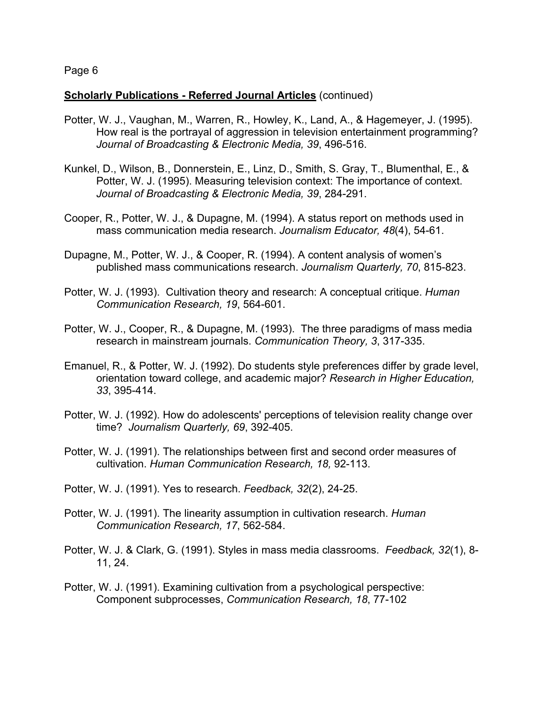#### **<u>Scholarly Publications - Referred Journal Articles</u> (continued)**

- Potter, W. J., Vaughan, M., Warren, R., Howley, K., Land, A., & Hagemeyer, J. (1995). How real is the portrayal of aggression in television entertainment programming? *Journal of Broadcasting & Electronic Media, 39*, 496-516.
- Kunkel, D., Wilson, B., Donnerstein, E., Linz, D., Smith, S. Gray, T., Blumenthal, E., & Potter, W. J. (1995). Measuring television context: The importance of context. *Journal of Broadcasting & Electronic Media, 39*, 284-291.
- Cooper, R., Potter, W. J., & Dupagne, M. (1994). A status report on methods used in mass communication media research. *Journalism Educator, 48*(4), 54-61.
- Dupagne, M., Potter, W. J., & Cooper, R. (1994). A content analysis of women's published mass communications research. *Journalism Quarterly, 70*, 815-823.
- Potter, W. J. (1993). Cultivation theory and research: A conceptual critique. *Human Communication Research, 19*, 564-601.
- Potter, W. J., Cooper, R., & Dupagne, M. (1993). The three paradigms of mass media research in mainstream journals. *Communication Theory, 3*, 317-335.
- Emanuel, R., & Potter, W. J. (1992). Do students style preferences differ by grade level, orientation toward college, and academic major? *Research in Higher Education, 33*, 395-414.
- Potter, W. J. (1992). How do adolescents' perceptions of television reality change over time? *Journalism Quarterly, 69*, 392-405.
- Potter, W. J. (1991). The relationships between first and second order measures of cultivation. *Human Communication Research, 18,* 92-113.
- Potter, W. J. (1991). Yes to research. *Feedback, 32*(2), 24-25.
- Potter, W. J. (1991). The linearity assumption in cultivation research. *Human Communication Research, 17*, 562-584.
- Potter, W. J. & Clark, G. (1991). Styles in mass media classrooms. *Feedback, 32*(1), 8- 11, 24.
- Potter, W. J. (1991). Examining cultivation from a psychological perspective: Component subprocesses, *Communication Research, 18*, 77-102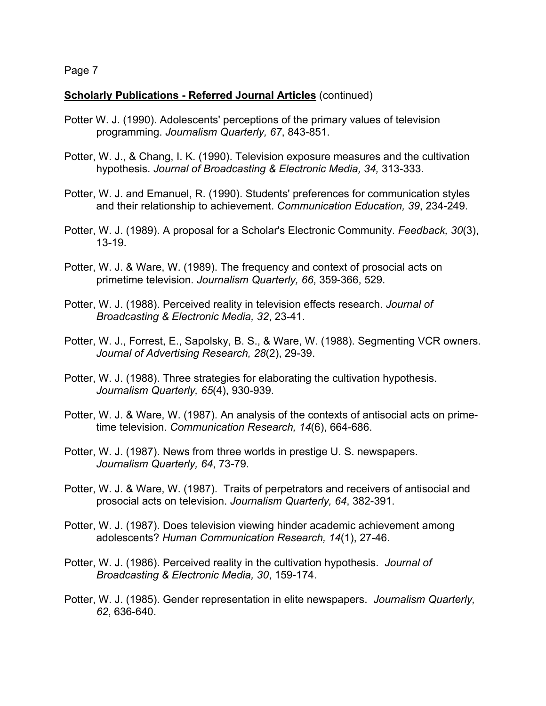#### **Scholarly Publications - Referred Journal Articles** (continued)

- Potter W. J. (1990). Adolescents' perceptions of the primary values of television programming. *Journalism Quarterly, 67*, 843-851.
- Potter, W. J., & Chang, I. K. (1990). Television exposure measures and the cultivation hypothesis. *Journal of Broadcasting & Electronic Media, 34,* 313-333.
- Potter, W. J. and Emanuel, R. (1990). Students' preferences for communication styles and their relationship to achievement. *Communication Education, 39*, 234-249.
- Potter, W. J. (1989). A proposal for a Scholar's Electronic Community. *Feedback, 30*(3), 13-19.
- Potter, W. J. & Ware, W. (1989). The frequency and context of prosocial acts on primetime television. *Journalism Quarterly, 66*, 359-366, 529.
- Potter, W. J. (1988). Perceived reality in television effects research. *Journal of Broadcasting & Electronic Media, 32*, 23-41.
- Potter, W. J., Forrest, E., Sapolsky, B. S., & Ware, W. (1988). Segmenting VCR owners. *Journal of Advertising Research, 28*(2), 29-39.
- Potter, W. J. (1988). Three strategies for elaborating the cultivation hypothesis. *Journalism Quarterly, 65*(4), 930-939.
- Potter, W. J. & Ware, W. (1987). An analysis of the contexts of antisocial acts on primetime television. *Communication Research, 14*(6), 664-686.
- Potter, W. J. (1987). News from three worlds in prestige U. S. newspapers. *Journalism Quarterly, 64*, 73-79.
- Potter, W. J. & Ware, W. (1987). Traits of perpetrators and receivers of antisocial and prosocial acts on television. *Journalism Quarterly, 64*, 382-391.
- Potter, W. J. (1987). Does television viewing hinder academic achievement among adolescents? *Human Communication Research, 14*(1), 27-46.
- Potter, W. J. (1986). Perceived reality in the cultivation hypothesis. *Journal of Broadcasting & Electronic Media, 30*, 159-174.
- Potter, W. J. (1985). Gender representation in elite newspapers. *Journalism Quarterly, 62*, 636-640.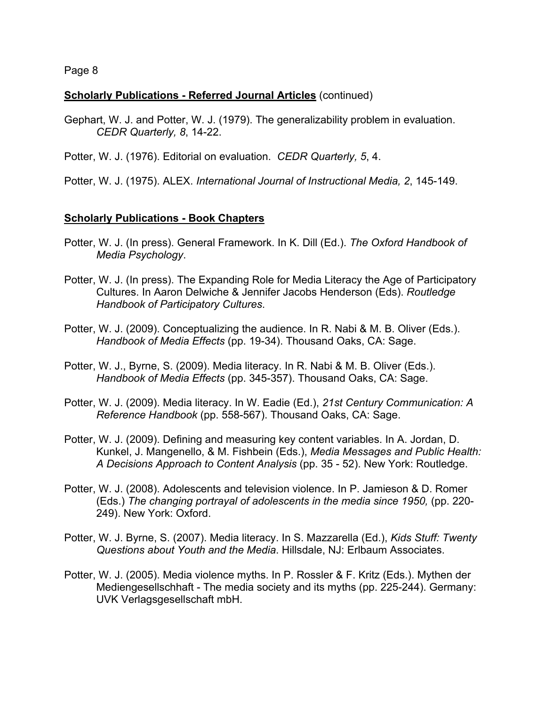### **Scholarly Publications - Referred Journal Articles** (continued)

- Gephart, W. J. and Potter, W. J. (1979). The generalizability problem in evaluation. *CEDR Quarterly, 8*, 14-22.
- Potter, W. J. (1976). Editorial on evaluation. *CEDR Quarterly, 5*, 4.
- Potter, W. J. (1975). ALEX. *International Journal of Instructional Media, 2*, 145-149.

## **Scholarly Publications - Book Chapters**

- Potter, W. J. (In press). General Framework. In K. Dill (Ed.). *The Oxford Handbook of Media Psychology*.
- Potter, W. J. (In press). The Expanding Role for Media Literacy the Age of Participatory Cultures. In Aaron Delwiche & Jennifer Jacobs Henderson (Eds). *Routledge Handbook of Participatory Cultures*.
- Potter, W. J. (2009). Conceptualizing the audience. In R. Nabi & M. B. Oliver (Eds.). *Handbook of Media Effects* (pp. 19-34). Thousand Oaks, CA: Sage.
- Potter, W. J., Byrne, S. (2009). Media literacy. In R. Nabi & M. B. Oliver (Eds.). *Handbook of Media Effects* (pp. 345-357). Thousand Oaks, CA: Sage.
- Potter, W. J. (2009). Media literacy. In W. Eadie (Ed.), *21st Century Communication: A Reference Handbook* (pp. 558-567). Thousand Oaks, CA: Sage.
- Potter, W. J. (2009). Defining and measuring key content variables. In A. Jordan, D. Kunkel, J. Mangenello, & M. Fishbein (Eds.), *Media Messages and Public Health: A Decisions Approach to Content Analysis* (pp. 35 - 52). New York: Routledge.
- Potter, W. J. (2008). Adolescents and television violence. In P. Jamieson & D. Romer (Eds.) *The changing portrayal of adolescents in the media since 1950,* (pp. 220- 249). New York: Oxford.
- Potter, W. J. Byrne, S. (2007). Media literacy. In S. Mazzarella (Ed.), *Kids Stuff: Twenty Questions about Youth and the Media*. Hillsdale, NJ: Erlbaum Associates.
- Potter, W. J. (2005). Media violence myths. In P. Rossler & F. Kritz (Eds.). Mythen der Mediengesellschhaft - The media society and its myths (pp. 225-244). Germany: UVK Verlagsgesellschaft mbH.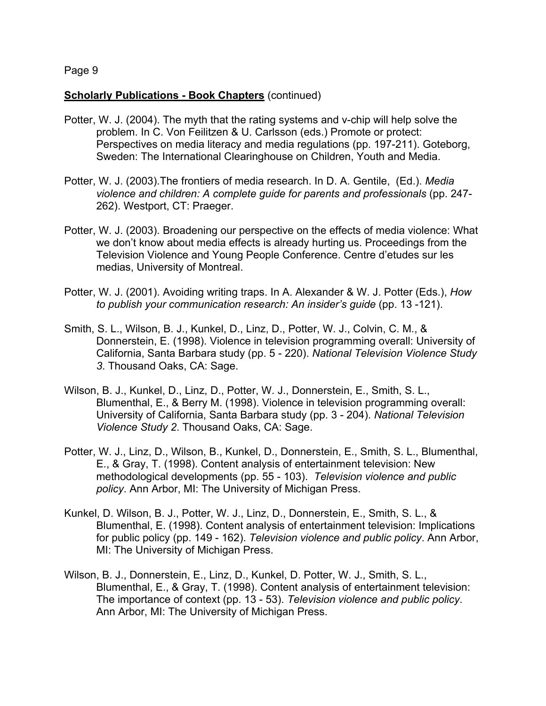#### **Scholarly Publications - Book Chapters** (continued)

- Potter, W. J. (2004). The myth that the rating systems and v-chip will help solve the problem. In C. Von Feilitzen & U. Carlsson (eds.) Promote or protect: Perspectives on media literacy and media regulations (pp. 197-211). Goteborg, Sweden: The International Clearinghouse on Children, Youth and Media.
- Potter, W. J. (2003).The frontiers of media research. In D. A. Gentile, (Ed.). *Media violence and children: A complete guide for parents and professionals* (pp. 247- 262). Westport, CT: Praeger.
- Potter, W. J. (2003). Broadening our perspective on the effects of media violence: What we don't know about media effects is already hurting us. Proceedings from the Television Violence and Young People Conference. Centre d'etudes sur les medias, University of Montreal.
- Potter, W. J. (2001). Avoiding writing traps. In A. Alexander & W. J. Potter (Eds.), *How to publish your communication research: An insider's guide* (pp. 13 -121).
- Smith, S. L., Wilson, B. J., Kunkel, D., Linz, D., Potter, W. J., Colvin, C. M., & Donnerstein, E. (1998). Violence in television programming overall: University of California, Santa Barbara study (pp. 5 - 220). *National Television Violence Study 3*. Thousand Oaks, CA: Sage.
- Wilson, B. J., Kunkel, D., Linz, D., Potter, W. J., Donnerstein, E., Smith, S. L., Blumenthal, E., & Berry M. (1998). Violence in television programming overall: University of California, Santa Barbara study (pp. 3 - 204). *National Television Violence Study 2*. Thousand Oaks, CA: Sage.
- Potter, W. J., Linz, D., Wilson, B., Kunkel, D., Donnerstein, E., Smith, S. L., Blumenthal, E., & Gray, T. (1998). Content analysis of entertainment television: New methodological developments (pp. 55 - 103). *Television violence and public policy*. Ann Arbor, MI: The University of Michigan Press.
- Kunkel, D. Wilson, B. J., Potter, W. J., Linz, D., Donnerstein, E., Smith, S. L., & Blumenthal, E. (1998). Content analysis of entertainment television: Implications for public policy (pp. 149 - 162). *Television violence and public policy*. Ann Arbor, MI: The University of Michigan Press.
- Wilson, B. J., Donnerstein, E., Linz, D., Kunkel, D. Potter, W. J., Smith, S. L., Blumenthal, E., & Gray, T. (1998). Content analysis of entertainment television: The importance of context (pp. 13 - 53). *Television violence and public policy*. Ann Arbor, MI: The University of Michigan Press.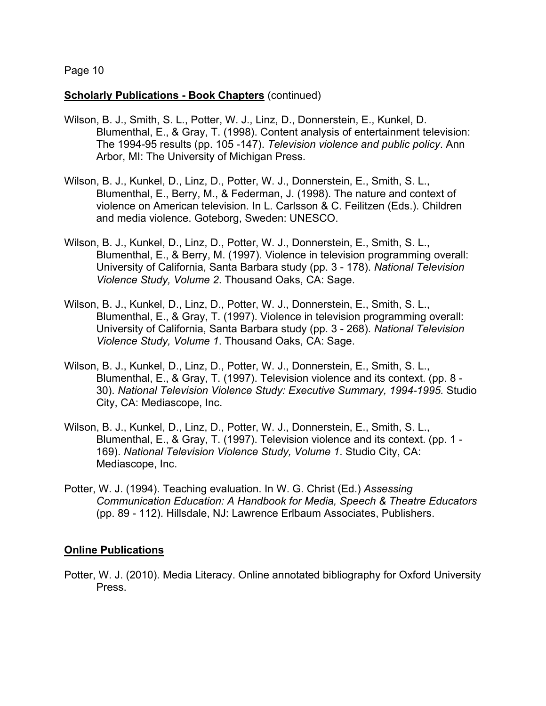#### **Scholarly Publications - Book Chapters** (continued)

- Wilson, B. J., Smith, S. L., Potter, W. J., Linz, D., Donnerstein, E., Kunkel, D. Blumenthal, E., & Gray, T. (1998). Content analysis of entertainment television: The 1994-95 results (pp. 105 -147). *Television violence and public policy*. Ann Arbor, MI: The University of Michigan Press.
- Wilson, B. J., Kunkel, D., Linz, D., Potter, W. J., Donnerstein, E., Smith, S. L., Blumenthal, E., Berry, M., & Federman, J. (1998). The nature and context of violence on American television. In L. Carlsson & C. Feilitzen (Eds.). Children and media violence. Goteborg, Sweden: UNESCO.
- Wilson, B. J., Kunkel, D., Linz, D., Potter, W. J., Donnerstein, E., Smith, S. L., Blumenthal, E., & Berry, M. (1997). Violence in television programming overall: University of California, Santa Barbara study (pp. 3 - 178). *National Television Violence Study, Volume 2*. Thousand Oaks, CA: Sage.
- Wilson, B. J., Kunkel, D., Linz, D., Potter, W. J., Donnerstein, E., Smith, S. L., Blumenthal, E., & Gray, T. (1997). Violence in television programming overall: University of California, Santa Barbara study (pp. 3 - 268). *National Television Violence Study, Volume 1*. Thousand Oaks, CA: Sage.
- Wilson, B. J., Kunkel, D., Linz, D., Potter, W. J., Donnerstein, E., Smith, S. L., Blumenthal, E., & Gray, T. (1997). Television violence and its context. (pp. 8 - 30). *National Television Violence Study: Executive Summary, 1994-1995.* Studio City, CA: Mediascope, Inc.
- Wilson, B. J., Kunkel, D., Linz, D., Potter, W. J., Donnerstein, E., Smith, S. L., Blumenthal, E., & Gray, T. (1997). Television violence and its context. (pp. 1 - 169). *National Television Violence Study, Volume 1*. Studio City, CA: Mediascope, Inc.
- Potter, W. J. (1994). Teaching evaluation. In W. G. Christ (Ed.) *Assessing Communication Education: A Handbook for Media, Speech & Theatre Educators* (pp. 89 - 112). Hillsdale, NJ: Lawrence Erlbaum Associates, Publishers.

#### **Online Publications**

Potter, W. J. (2010). Media Literacy. Online annotated bibliography for Oxford University Press.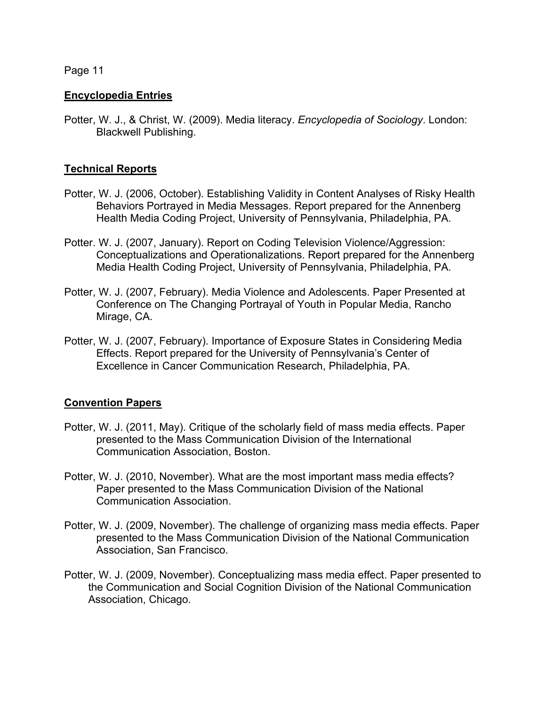### **Encyclopedia Entries**

Potter, W. J., & Christ, W. (2009). Media literacy. *Encyclopedia of Sociology*. London: Blackwell Publishing.

### **Technical Reports**

- Potter, W. J. (2006, October). Establishing Validity in Content Analyses of Risky Health Behaviors Portrayed in Media Messages. Report prepared for the Annenberg Health Media Coding Project, University of Pennsylvania, Philadelphia, PA.
- Potter. W. J. (2007, January). Report on Coding Television Violence/Aggression: Conceptualizations and Operationalizations. Report prepared for the Annenberg Media Health Coding Project, University of Pennsylvania, Philadelphia, PA.
- Potter, W. J. (2007, February). Media Violence and Adolescents. Paper Presented at Conference on The Changing Portrayal of Youth in Popular Media, Rancho Mirage, CA.
- Potter, W. J. (2007, February). Importance of Exposure States in Considering Media Effects. Report prepared for the University of Pennsylvania's Center of Excellence in Cancer Communication Research, Philadelphia, PA.

### **Convention Papers**

- Potter, W. J. (2011, May). Critique of the scholarly field of mass media effects. Paper presented to the Mass Communication Division of the International Communication Association, Boston.
- Potter, W. J. (2010, November). What are the most important mass media effects? Paper presented to the Mass Communication Division of the National Communication Association.
- Potter, W. J. (2009, November). The challenge of organizing mass media effects. Paper presented to the Mass Communication Division of the National Communication Association, San Francisco.
- Potter, W. J. (2009, November). Conceptualizing mass media effect. Paper presented to the Communication and Social Cognition Division of the National Communication Association, Chicago.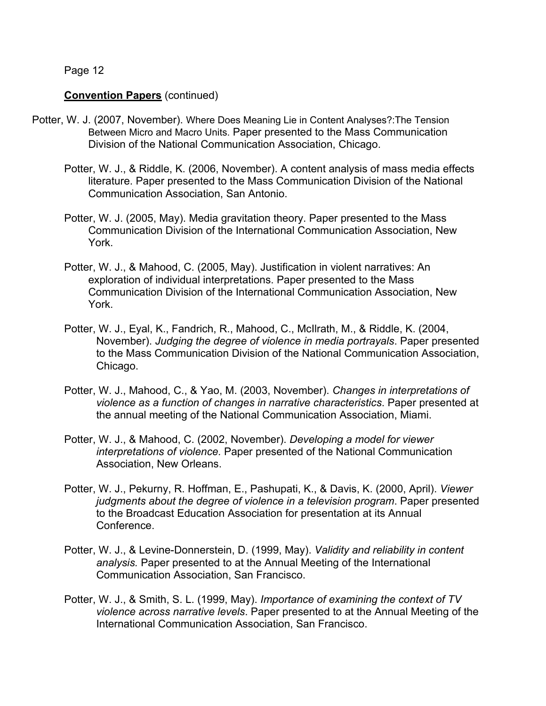- Potter, W. J. (2007, November). Where Does Meaning Lie in Content Analyses?:The Tension Between Micro and Macro Units. Paper presented to the Mass Communication Division of the National Communication Association, Chicago.
	- Potter, W. J., & Riddle, K. (2006, November). A content analysis of mass media effects literature. Paper presented to the Mass Communication Division of the National Communication Association, San Antonio.
	- Potter, W. J. (2005, May). Media gravitation theory. Paper presented to the Mass Communication Division of the International Communication Association, New York.
	- Potter, W. J., & Mahood, C. (2005, May). Justification in violent narratives: An exploration of individual interpretations. Paper presented to the Mass Communication Division of the International Communication Association, New York.
	- Potter, W. J., Eyal, K., Fandrich, R., Mahood, C., McIlrath, M., & Riddle, K. (2004, November). *Judging the degree of violence in media portrayals*. Paper presented to the Mass Communication Division of the National Communication Association, Chicago.
	- Potter, W. J., Mahood, C., & Yao, M. (2003, November). *Changes in interpretations of violence as a function of changes in narrative characteristics*. Paper presented at the annual meeting of the National Communication Association, Miami.
	- Potter, W. J., & Mahood, C. (2002, November). *Developing a model for viewer interpretations of violence.* Paper presented of the National Communication Association, New Orleans.
	- Potter, W. J., Pekurny, R. Hoffman, E., Pashupati, K., & Davis, K. (2000, April). *Viewer judgments about the degree of violence in a television program*. Paper presented to the Broadcast Education Association for presentation at its Annual Conference.
	- Potter, W. J., & Levine-Donnerstein, D. (1999, May). *Validity and reliability in content analysis.* Paper presented to at the Annual Meeting of the International Communication Association, San Francisco.
	- Potter, W. J., & Smith, S. L. (1999, May). *Importance of examining the context of TV violence across narrative levels*. Paper presented to at the Annual Meeting of the International Communication Association, San Francisco.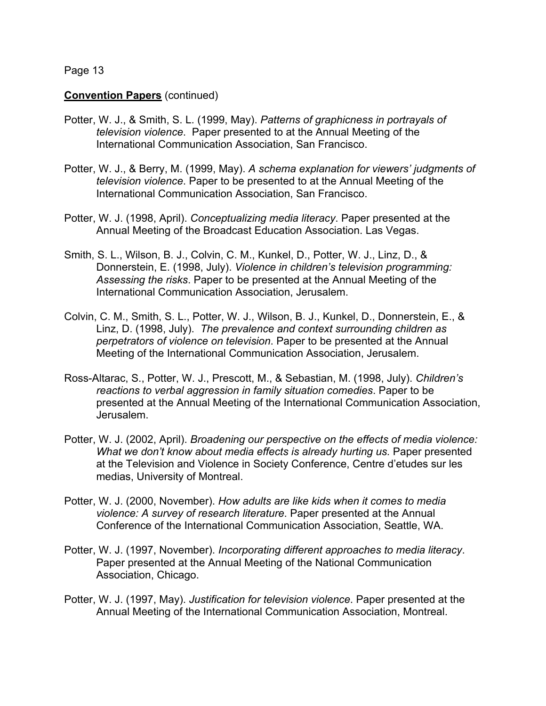- Potter, W. J., & Smith, S. L. (1999, May). *Patterns of graphicness in portrayals of television violence*. Paper presented to at the Annual Meeting of the International Communication Association, San Francisco.
- Potter, W. J., & Berry, M. (1999, May). *A schema explanation for viewers' judgments of television violence*. Paper to be presented to at the Annual Meeting of the International Communication Association, San Francisco.
- Potter, W. J. (1998, April). *Conceptualizing media literacy*. Paper presented at the Annual Meeting of the Broadcast Education Association. Las Vegas.
- Smith, S. L., Wilson, B. J., Colvin, C. M., Kunkel, D., Potter, W. J., Linz, D., & Donnerstein, E. (1998, July). *Violence in children's television programming: Assessing the risks*. Paper to be presented at the Annual Meeting of the International Communication Association, Jerusalem.
- Colvin, C. M., Smith, S. L., Potter, W. J., Wilson, B. J., Kunkel, D., Donnerstein, E., & Linz, D. (1998, July). *The prevalence and context surrounding children as perpetrators of violence on television*. Paper to be presented at the Annual Meeting of the International Communication Association, Jerusalem.
- Ross-Altarac, S., Potter, W. J., Prescott, M., & Sebastian, M. (1998, July). *Children's reactions to verbal aggression in family situation comedies*. Paper to be presented at the Annual Meeting of the International Communication Association, Jerusalem.
- Potter, W. J. (2002, April). *Broadening our perspective on the effects of media violence: What we don't know about media effects is already hurting us.* Paper presented at the Television and Violence in Society Conference, Centre d'etudes sur les medias, University of Montreal.
- Potter, W. J. (2000, November). *How adults are like kids when it comes to media violence: A survey of research literature*. Paper presented at the Annual Conference of the International Communication Association, Seattle, WA.
- Potter, W. J. (1997, November). *Incorporating different approaches to media literacy*. Paper presented at the Annual Meeting of the National Communication Association, Chicago.
- Potter, W. J. (1997, May). *Justification for television violence*. Paper presented at the Annual Meeting of the International Communication Association, Montreal.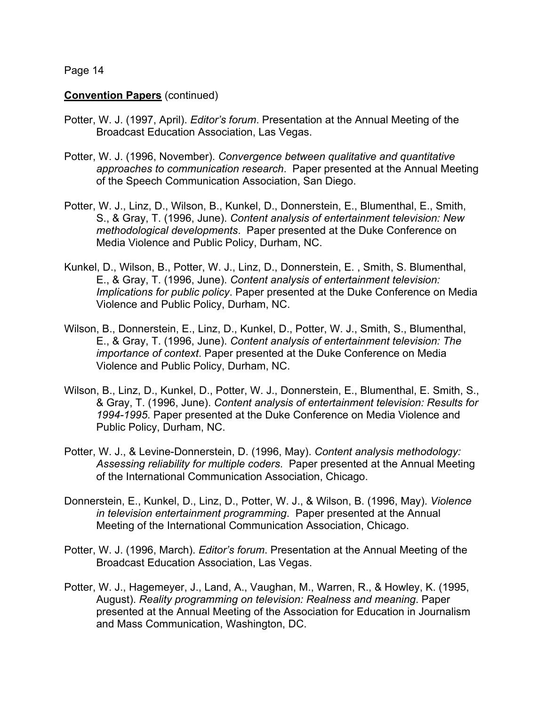- Potter, W. J. (1997, April). *Editor's forum*. Presentation at the Annual Meeting of the Broadcast Education Association, Las Vegas.
- Potter, W. J. (1996, November). *Convergence between qualitative and quantitative approaches to communication research*. Paper presented at the Annual Meeting of the Speech Communication Association, San Diego.
- Potter, W. J., Linz, D., Wilson, B., Kunkel, D., Donnerstein, E., Blumenthal, E., Smith, S., & Gray, T. (1996, June). *Content analysis of entertainment television: New methodological developments*. Paper presented at the Duke Conference on Media Violence and Public Policy, Durham, NC.
- Kunkel, D., Wilson, B., Potter, W. J., Linz, D., Donnerstein, E. , Smith, S. Blumenthal, E., & Gray, T. (1996, June). *Content analysis of entertainment television: Implications for public policy*. Paper presented at the Duke Conference on Media Violence and Public Policy, Durham, NC.
- Wilson, B., Donnerstein, E., Linz, D., Kunkel, D., Potter, W. J., Smith, S., Blumenthal, E., & Gray, T. (1996, June). *Content analysis of entertainment television: The importance of context*. Paper presented at the Duke Conference on Media Violence and Public Policy, Durham, NC.
- Wilson, B., Linz, D., Kunkel, D., Potter, W. J., Donnerstein, E., Blumenthal, E. Smith, S., & Gray, T. (1996, June). *Content analysis of entertainment television: Results for 1994-1995*. Paper presented at the Duke Conference on Media Violence and Public Policy, Durham, NC.
- Potter, W. J., & Levine-Donnerstein, D. (1996, May). *Content analysis methodology: Assessing reliability for multiple coders*. Paper presented at the Annual Meeting of the International Communication Association, Chicago.
- Donnerstein, E., Kunkel, D., Linz, D., Potter, W. J., & Wilson, B. (1996, May). *Violence in television entertainment programming*. Paper presented at the Annual Meeting of the International Communication Association, Chicago.
- Potter, W. J. (1996, March). *Editor's forum*. Presentation at the Annual Meeting of the Broadcast Education Association, Las Vegas.
- Potter, W. J., Hagemeyer, J., Land, A., Vaughan, M., Warren, R., & Howley, K. (1995, August). *Reality programming on television: Realness and meaning*. Paper presented at the Annual Meeting of the Association for Education in Journalism and Mass Communication, Washington, DC.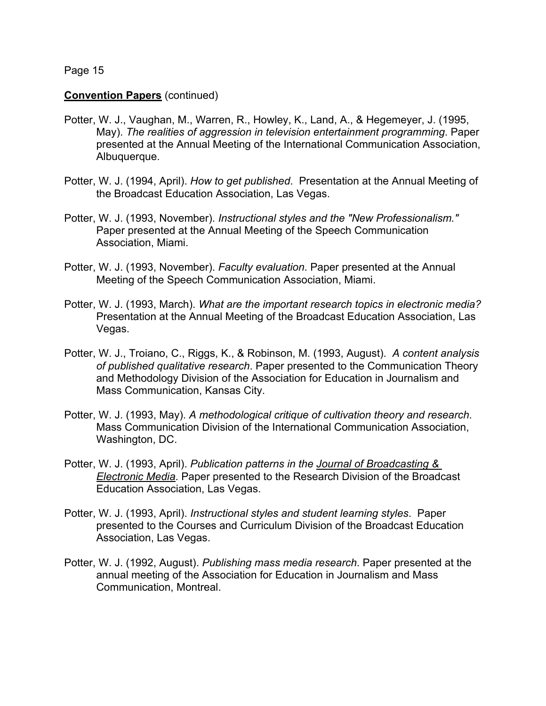- Potter, W. J., Vaughan, M., Warren, R., Howley, K., Land, A., & Hegemeyer, J. (1995, May). *The realities of aggression in television entertainment programming*. Paper presented at the Annual Meeting of the International Communication Association, Albuquerque.
- Potter, W. J. (1994, April). *How to get published*. Presentation at the Annual Meeting of the Broadcast Education Association, Las Vegas.
- Potter, W. J. (1993, November). *Instructional styles and the "New Professionalism."* Paper presented at the Annual Meeting of the Speech Communication Association, Miami.
- Potter, W. J. (1993, November). *Faculty evaluation*. Paper presented at the Annual Meeting of the Speech Communication Association, Miami.
- Potter, W. J. (1993, March). *What are the important research topics in electronic media?* Presentation at the Annual Meeting of the Broadcast Education Association, Las Vegas.
- Potter, W. J., Troiano, C., Riggs, K., & Robinson, M. (1993, August). *A content analysis of published qualitative research*. Paper presented to the Communication Theory and Methodology Division of the Association for Education in Journalism and Mass Communication, Kansas City.
- Potter, W. J. (1993, May). *A methodological critique of cultivation theory and research*. Mass Communication Division of the International Communication Association, Washington, DC.
- Potter, W. J. (1993, April). *Publication patterns in the Journal of Broadcasting & Electronic Media*. Paper presented to the Research Division of the Broadcast Education Association, Las Vegas.
- Potter, W. J. (1993, April). *Instructional styles and student learning styles*. Paper presented to the Courses and Curriculum Division of the Broadcast Education Association, Las Vegas.
- Potter, W. J. (1992, August). *Publishing mass media research*. Paper presented at the annual meeting of the Association for Education in Journalism and Mass Communication, Montreal.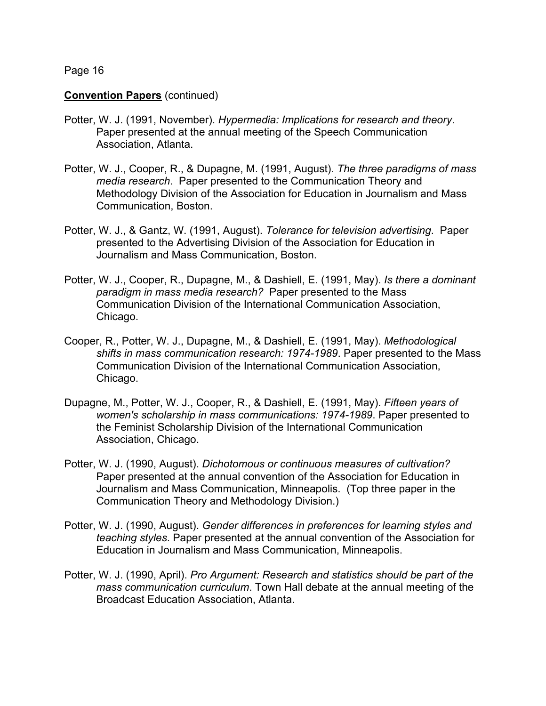- Potter, W. J. (1991, November). *Hypermedia: Implications for research and theory*. Paper presented at the annual meeting of the Speech Communication Association, Atlanta.
- Potter, W. J., Cooper, R., & Dupagne, M. (1991, August). *The three paradigms of mass media research*. Paper presented to the Communication Theory and Methodology Division of the Association for Education in Journalism and Mass Communication, Boston.
- Potter, W. J., & Gantz, W. (1991, August). *Tolerance for television advertising*. Paper presented to the Advertising Division of the Association for Education in Journalism and Mass Communication, Boston.
- Potter, W. J., Cooper, R., Dupagne, M., & Dashiell, E. (1991, May). *Is there a dominant paradigm in mass media research?* Paper presented to the Mass Communication Division of the International Communication Association, Chicago.
- Cooper, R., Potter, W. J., Dupagne, M., & Dashiell, E. (1991, May). *Methodological shifts in mass communication research: 1974-1989*. Paper presented to the Mass Communication Division of the International Communication Association, Chicago.
- Dupagne, M., Potter, W. J., Cooper, R., & Dashiell, E. (1991, May). *Fifteen years of women's scholarship in mass communications: 1974-1989*. Paper presented to the Feminist Scholarship Division of the International Communication Association, Chicago.
- Potter, W. J. (1990, August). *Dichotomous or continuous measures of cultivation?* Paper presented at the annual convention of the Association for Education in Journalism and Mass Communication, Minneapolis. (Top three paper in the Communication Theory and Methodology Division.)
- Potter, W. J. (1990, August). *Gender differences in preferences for learning styles and teaching styles*. Paper presented at the annual convention of the Association for Education in Journalism and Mass Communication, Minneapolis.
- Potter, W. J. (1990, April). *Pro Argument: Research and statistics should be part of the mass communication curriculum*. Town Hall debate at the annual meeting of the Broadcast Education Association, Atlanta.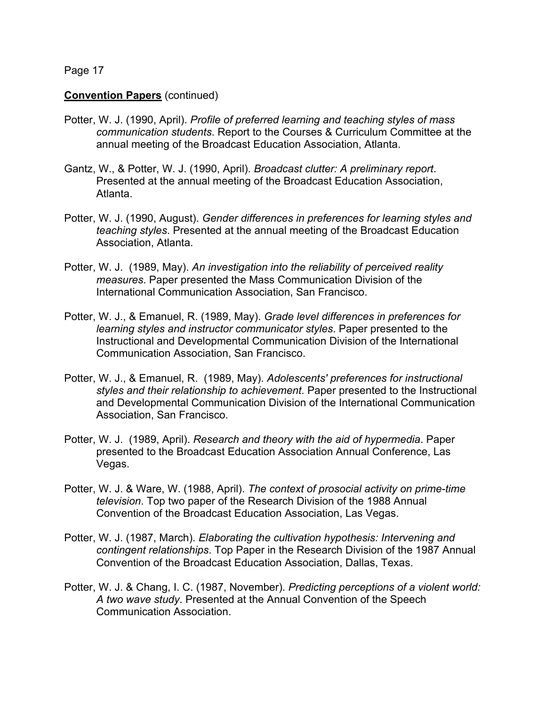- Potter, W. J. (1990, April). *Profile of preferred learning and teaching styles of mass communication students*. Report to the Courses & Curriculum Committee at the annual meeting of the Broadcast Education Association, Atlanta.
- Gantz, W., & Potter, W. J. (1990, April). *Broadcast clutter: A preliminary report*. Presented at the annual meeting of the Broadcast Education Association, Atlanta.
- Potter, W. J. (1990, August). *Gender differences in preferences for learning styles and teaching styles*. Presented at the annual meeting of the Broadcast Education Association, Atlanta.
- Potter, W. J. (1989, May). *An investigation into the reliability of perceived reality measures*. Paper presented the Mass Communication Division of the International Communication Association, San Francisco.
- Potter, W. J., & Emanuel, R. (1989, May). *Grade level differences in preferences for learning styles and instructor communicator styles*. Paper presented to the Instructional and Developmental Communication Division of the International Communication Association, San Francisco.
- Potter, W. J., & Emanuel, R. (1989, May). *Adolescents' preferences for instructional styles and their relationship to achievement*. Paper presented to the Instructional and Developmental Communication Division of the International Communication Association, San Francisco.
- Potter, W. J. (1989, April). *Research and theory with the aid of hypermedia*. Paper presented to the Broadcast Education Association Annual Conference, Las Vegas.
- Potter, W. J. & Ware, W. (1988, April). *The context of prosocial activity on prime-time television*. Top two paper of the Research Division of the 1988 Annual Convention of the Broadcast Education Association, Las Vegas.
- Potter, W. J. (1987, March). *Elaborating the cultivation hypothesis: Intervening and contingent relationships*. Top Paper in the Research Division of the 1987 Annual Convention of the Broadcast Education Association, Dallas, Texas.
- Potter, W. J. & Chang, I. C. (1987, November). *Predicting perceptions of a violent world: A two wave study*. Presented at the Annual Convention of the Speech Communication Association.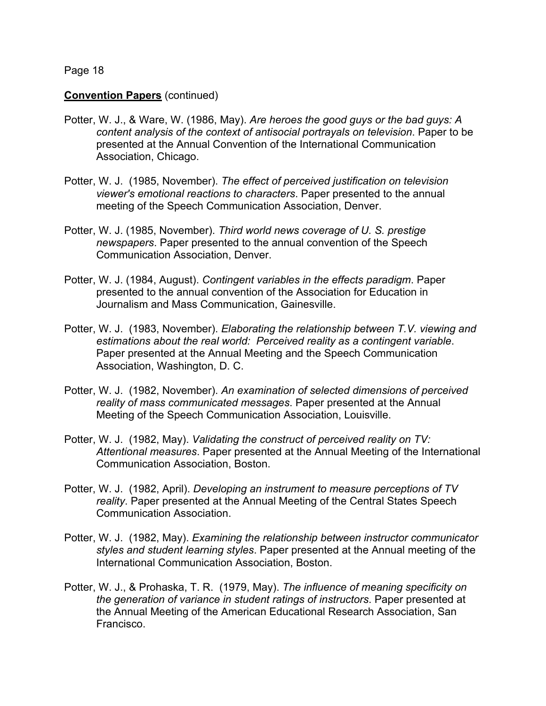- Potter, W. J., & Ware, W. (1986, May). *Are heroes the good guys or the bad guys: A content analysis of the context of antisocial portrayals on television*. Paper to be presented at the Annual Convention of the International Communication Association, Chicago.
- Potter, W. J. (1985, November). *The effect of perceived justification on television viewer's emotional reactions to characters*. Paper presented to the annual meeting of the Speech Communication Association, Denver.
- Potter, W. J. (1985, November). *Third world news coverage of U. S. prestige newspapers*. Paper presented to the annual convention of the Speech Communication Association, Denver.
- Potter, W. J. (1984, August). *Contingent variables in the effects paradigm*. Paper presented to the annual convention of the Association for Education in Journalism and Mass Communication, Gainesville.
- Potter, W. J. (1983, November). *Elaborating the relationship between T.V. viewing and estimations about the real world: Perceived reality as a contingent variable*. Paper presented at the Annual Meeting and the Speech Communication Association, Washington, D. C.
- Potter, W. J. (1982, November). *An examination of selected dimensions of perceived reality of mass communicated messages*. Paper presented at the Annual Meeting of the Speech Communication Association, Louisville.
- Potter, W. J. (1982, May). *Validating the construct of perceived reality on TV: Attentional measures*. Paper presented at the Annual Meeting of the International Communication Association, Boston.
- Potter, W. J. (1982, April). *Developing an instrument to measure perceptions of TV reality*. Paper presented at the Annual Meeting of the Central States Speech Communication Association.
- Potter, W. J. (1982, May). *Examining the relationship between instructor communicator styles and student learning styles*. Paper presented at the Annual meeting of the International Communication Association, Boston.
- Potter, W. J., & Prohaska, T. R. (1979, May). *The influence of meaning specificity on the generation of variance in student ratings of instructors*. Paper presented at the Annual Meeting of the American Educational Research Association, San Francisco.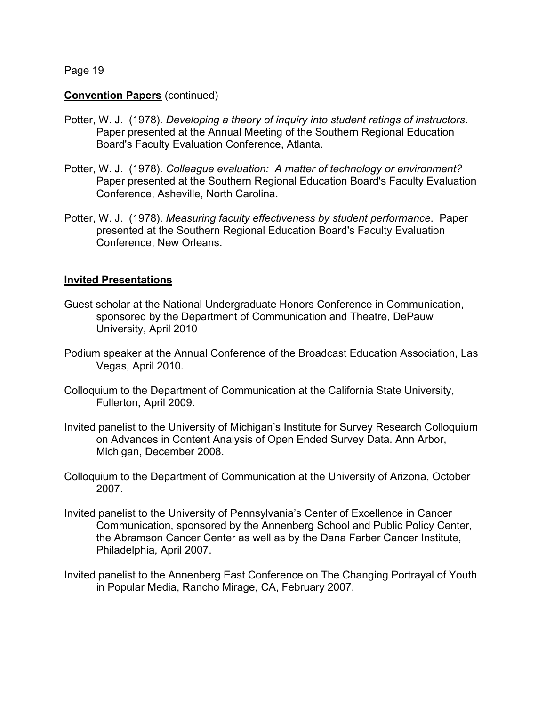#### **Convention Papers** (continued)

- Potter, W. J. (1978). *Developing a theory of inquiry into student ratings of instructors*. Paper presented at the Annual Meeting of the Southern Regional Education Board's Faculty Evaluation Conference, Atlanta.
- Potter, W. J. (1978). *Colleague evaluation: A matter of technology or environment?*  Paper presented at the Southern Regional Education Board's Faculty Evaluation Conference, Asheville, North Carolina.
- Potter, W. J. (1978). *Measuring faculty effectiveness by student performance*. Paper presented at the Southern Regional Education Board's Faculty Evaluation Conference, New Orleans.

#### **Invited Presentations**

- Guest scholar at the National Undergraduate Honors Conference in Communication, sponsored by the Department of Communication and Theatre, DePauw University, April 2010
- Podium speaker at the Annual Conference of the Broadcast Education Association, Las Vegas, April 2010.
- Colloquium to the Department of Communication at the California State University, Fullerton, April 2009.
- Invited panelist to the University of Michigan's Institute for Survey Research Colloquium on Advances in Content Analysis of Open Ended Survey Data. Ann Arbor, Michigan, December 2008.
- Colloquium to the Department of Communication at the University of Arizona, October 2007.
- Invited panelist to the University of Pennsylvania's Center of Excellence in Cancer Communication, sponsored by the Annenberg School and Public Policy Center, the Abramson Cancer Center as well as by the Dana Farber Cancer Institute, Philadelphia, April 2007.
- Invited panelist to the Annenberg East Conference on The Changing Portrayal of Youth in Popular Media, Rancho Mirage, CA, February 2007.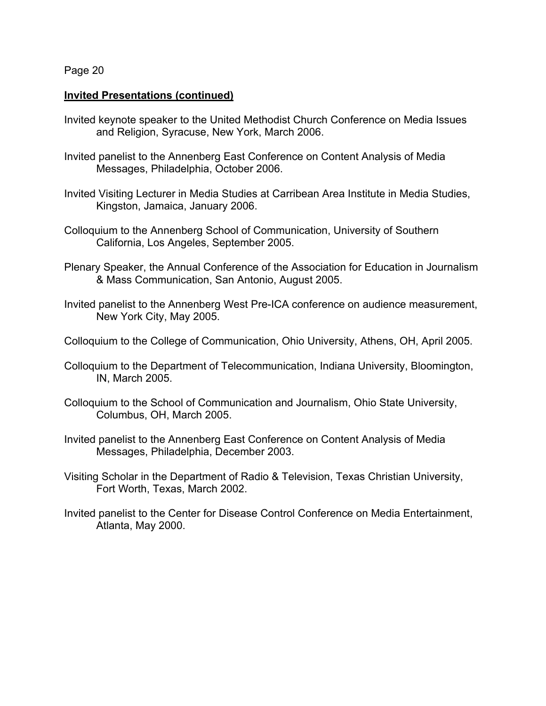#### **Invited Presentations (continued)**

- Invited keynote speaker to the United Methodist Church Conference on Media Issues and Religion, Syracuse, New York, March 2006.
- Invited panelist to the Annenberg East Conference on Content Analysis of Media Messages, Philadelphia, October 2006.
- Invited Visiting Lecturer in Media Studies at Carribean Area Institute in Media Studies, Kingston, Jamaica, January 2006.
- Colloquium to the Annenberg School of Communication, University of Southern California, Los Angeles, September 2005.
- Plenary Speaker, the Annual Conference of the Association for Education in Journalism & Mass Communication, San Antonio, August 2005.
- Invited panelist to the Annenberg West Pre-ICA conference on audience measurement, New York City, May 2005.
- Colloquium to the College of Communication, Ohio University, Athens, OH, April 2005.
- Colloquium to the Department of Telecommunication, Indiana University, Bloomington, IN, March 2005.
- Colloquium to the School of Communication and Journalism, Ohio State University, Columbus, OH, March 2005.
- Invited panelist to the Annenberg East Conference on Content Analysis of Media Messages, Philadelphia, December 2003.
- Visiting Scholar in the Department of Radio & Television, Texas Christian University, Fort Worth, Texas, March 2002.
- Invited panelist to the Center for Disease Control Conference on Media Entertainment, Atlanta, May 2000.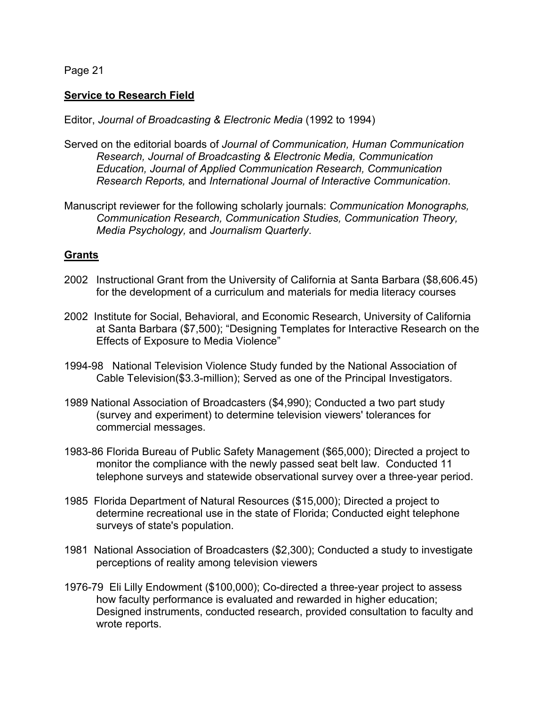### **Service to Research Field**

Editor, *Journal of Broadcasting & Electronic Media* (1992 to 1994)

- Served on the editorial boards of *Journal of Communication, Human Communication Research, Journal of Broadcasting & Electronic Media, Communication Education, Journal of Applied Communication Research, Communication Research Reports,* and *International Journal of Interactive Communication*.
- Manuscript reviewer for the following scholarly journals: *Communication Monographs, Communication Research, Communication Studies, Communication Theory, Media Psychology,* and *Journalism Quarterly*.

### **Grants**

- 2002 Instructional Grant from the University of California at Santa Barbara (\$8,606.45) for the development of a curriculum and materials for media literacy courses
- 2002 Institute for Social, Behavioral, and Economic Research, University of California at Santa Barbara (\$7,500); "Designing Templates for Interactive Research on the Effects of Exposure to Media Violence"
- 1994-98 National Television Violence Study funded by the National Association of Cable Television(\$3.3-million); Served as one of the Principal Investigators.
- 1989 National Association of Broadcasters (\$4,990); Conducted a two part study (survey and experiment) to determine television viewers' tolerances for commercial messages.
- 1983-86 Florida Bureau of Public Safety Management (\$65,000); Directed a project to monitor the compliance with the newly passed seat belt law. Conducted 11 telephone surveys and statewide observational survey over a three-year period.
- 1985 Florida Department of Natural Resources (\$15,000); Directed a project to determine recreational use in the state of Florida; Conducted eight telephone surveys of state's population.
- 1981 National Association of Broadcasters (\$2,300); Conducted a study to investigate perceptions of reality among television viewers
- 1976-79 Eli Lilly Endowment (\$100,000); Co-directed a three-year project to assess how faculty performance is evaluated and rewarded in higher education; Designed instruments, conducted research, provided consultation to faculty and wrote reports.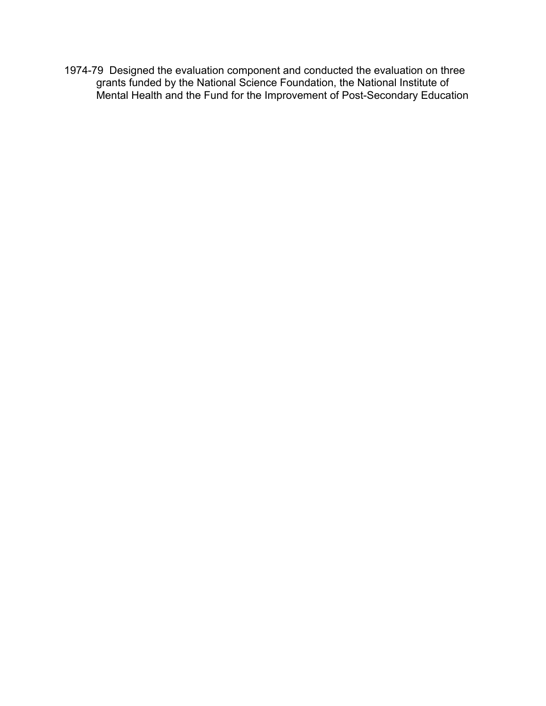1974-79 Designed the evaluation component and conducted the evaluation on three grants funded by the National Science Foundation, the National Institute of Mental Health and the Fund for the Improvement of Post-Secondary Education